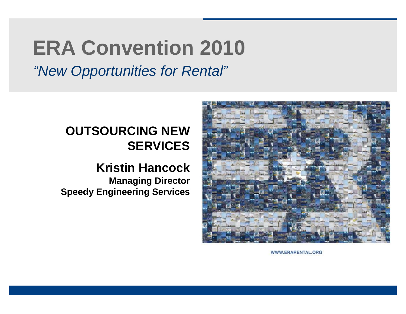# **ERA Convention 2010**

*"New Opportunities for Rental"*

#### **OUTSOURCING NEW SERVICES**

#### **Kristin Hancock**

**Managing Director Speedy Engineering Services**



WWW.ERARENTAL.ORG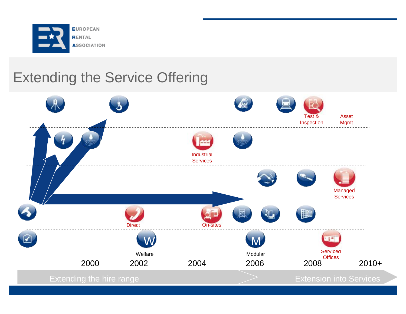

### Extending the Service Offering

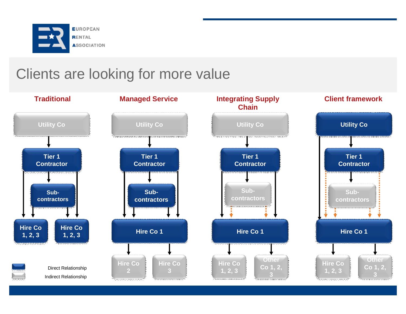

## Clients are looking for more value

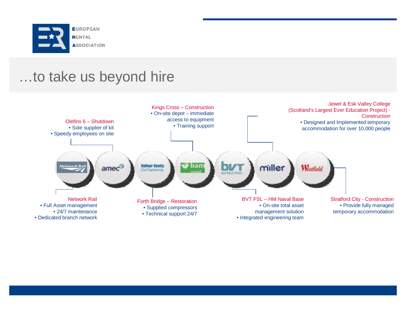

#### …to take us beyond hire

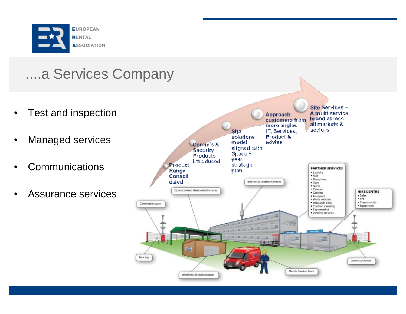

## ....a Services Company

- Test and inspection
- **Managed services**
- **Communications**
- Assurance services